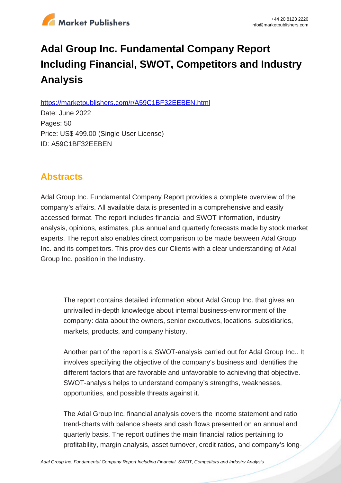

# **Adal Group Inc. Fundamental Company Report Including Financial, SWOT, Competitors and Industry Analysis**

https://marketpublishers.com/r/A59C1BF32EEBEN.html

Date: June 2022 Pages: 50 Price: US\$ 499.00 (Single User License) ID: A59C1BF32EEBEN

# **Abstracts**

Adal Group Inc. Fundamental Company Report provides a complete overview of the company's affairs. All available data is presented in a comprehensive and easily accessed format. The report includes financial and SWOT information, industry analysis, opinions, estimates, plus annual and quarterly forecasts made by stock market experts. The report also enables direct comparison to be made between Adal Group Inc. and its competitors. This provides our Clients with a clear understanding of Adal Group Inc. position in the Industry.

The report contains detailed information about Adal Group Inc. that gives an unrivalled in-depth knowledge about internal business-environment of the company: data about the owners, senior executives, locations, subsidiaries, markets, products, and company history.

Another part of the report is a SWOT-analysis carried out for Adal Group Inc.. It involves specifying the objective of the company's business and identifies the different factors that are favorable and unfavorable to achieving that objective. SWOT-analysis helps to understand company's strengths, weaknesses, opportunities, and possible threats against it.

The Adal Group Inc. financial analysis covers the income statement and ratio trend-charts with balance sheets and cash flows presented on an annual and quarterly basis. The report outlines the main financial ratios pertaining to profitability, margin analysis, asset turnover, credit ratios, and company's long-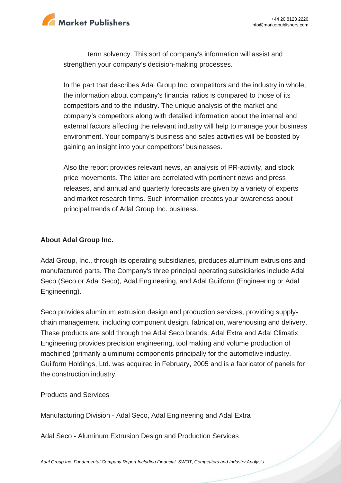

term solvency. This sort of company's information will assist and strengthen your company's decision-making processes.

In the part that describes Adal Group Inc. competitors and the industry in whole, the information about company's financial ratios is compared to those of its competitors and to the industry. The unique analysis of the market and company's competitors along with detailed information about the internal and external factors affecting the relevant industry will help to manage your business environment. Your company's business and sales activities will be boosted by gaining an insight into your competitors' businesses.

Also the report provides relevant news, an analysis of PR-activity, and stock price movements. The latter are correlated with pertinent news and press releases, and annual and quarterly forecasts are given by a variety of experts and market research firms. Such information creates your awareness about principal trends of Adal Group Inc. business.

### **About Adal Group Inc.**

Adal Group, Inc., through its operating subsidiaries, produces aluminum extrusions and manufactured parts. The Company's three principal operating subsidiaries include Adal Seco (Seco or Adal Seco), Adal Engineering, and Adal Guilform (Engineering or Adal Engineering).

Seco provides aluminum extrusion design and production services, providing supplychain management, including component design, fabrication, warehousing and delivery. These products are sold through the Adal Seco brands, Adal Extra and Adal Climatix. Engineering provides precision engineering, tool making and volume production of machined (primarily aluminum) components principally for the automotive industry. Guilform Holdings, Ltd. was acquired in February, 2005 and is a fabricator of panels for the construction industry.

Products and Services

Manufacturing Division - Adal Seco, Adal Engineering and Adal Extra

Adal Seco - Aluminum Extrusion Design and Production Services

[Adal Group Inc. Fundamental Company Report Including Financial, SWOT, Competitors and Industry Analysis](https://marketpublishers.com/report/industry/metallurgy/adal_group_inc_swot_analysis_bac.html)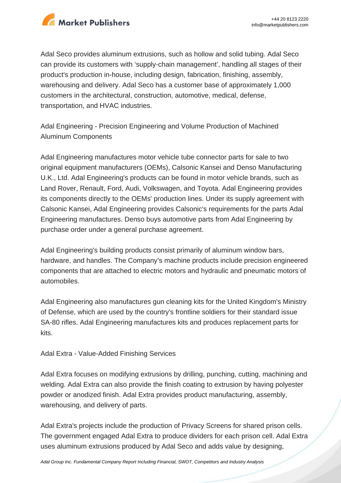

Adal Seco provides aluminum extrusions, such as hollow and solid tubing. Adal Seco can provide its customers with 'supply-chain management', handling all stages of their product's production in-house, including design, fabrication, finishing, assembly, warehousing and delivery. Adal Seco has a customer base of approximately 1,000 customers in the architectural, construction, automotive, medical, defense, transportation, and HVAC industries.

Adal Engineering - Precision Engineering and Volume Production of Machined Aluminum Components

Adal Engineering manufactures motor vehicle tube connector parts for sale to two original equipment manufacturers (OEMs), Calsonic Kansei and Denso Manufacturing U.K., Ltd. Adal Engineering's products can be found in motor vehicle brands, such as Land Rover, Renault, Ford, Audi, Volkswagen, and Toyota. Adal Engineering provides its components directly to the OEMs' production lines. Under its supply agreement with Calsonic Kansei, Adal Engineering provides Calsonic's requirements for the parts Adal Engineering manufactures. Denso buys automotive parts from Adal Engineering by purchase order under a general purchase agreement.

Adal Engineering's building products consist primarily of aluminum window bars, hardware, and handles. The Company's machine products include precision engineered components that are attached to electric motors and hydraulic and pneumatic motors of automobiles.

Adal Engineering also manufactures gun cleaning kits for the United Kingdom's Ministry of Defense, which are used by the country's frontline soldiers for their standard issue SA-80 rifles. Adal Engineering manufactures kits and produces replacement parts for kits.

Adal Extra - Value-Added Finishing Services

Adal Extra focuses on modifying extrusions by drilling, punching, cutting, machining and welding. Adal Extra can also provide the finish coating to extrusion by having polyester powder or anodized finish. Adal Extra provides product manufacturing, assembly, warehousing, and delivery of parts.

Adal Extra's projects include the production of Privacy Screens for shared prison cells. The government engaged Adal Extra to produce dividers for each prison cell. Adal Extra uses aluminum extrusions produced by Adal Seco and adds value by designing,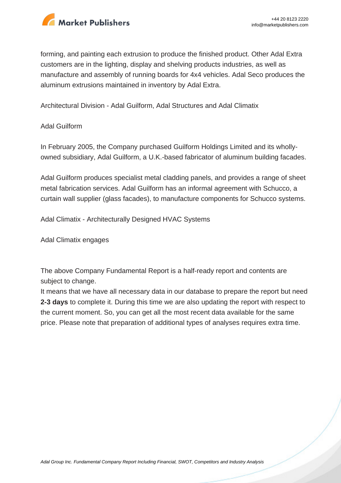

forming, and painting each extrusion to produce the finished product. Other Adal Extra customers are in the lighting, display and shelving products industries, as well as manufacture and assembly of running boards for 4x4 vehicles. Adal Seco produces the aluminum extrusions maintained in inventory by Adal Extra.

Architectural Division - Adal Guilform, Adal Structures and Adal Climatix

### Adal Guilform

In February 2005, the Company purchased Guilform Holdings Limited and its whollyowned subsidiary, Adal Guilform, a U.K.-based fabricator of aluminum building facades.

Adal Guilform produces specialist metal cladding panels, and provides a range of sheet metal fabrication services. Adal Guilform has an informal agreement with Schucco, a curtain wall supplier (glass facades), to manufacture components for Schucco systems.

Adal Climatix - Architecturally Designed HVAC Systems

Adal Climatix engages

The above Company Fundamental Report is a half-ready report and contents are subject to change.

It means that we have all necessary data in our database to prepare the report but need **2-3 days** to complete it. During this time we are also updating the report with respect to the current moment. So, you can get all the most recent data available for the same price. Please note that preparation of additional types of analyses requires extra time.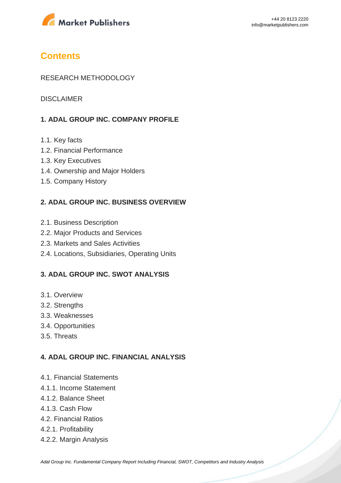

# **Contents**

### RESEARCH METHODOLOGY

DISCLAIMER

# **1. ADAL GROUP INC. COMPANY PROFILE**

- 1.1. Key facts
- 1.2. Financial Performance
- 1.3. Key Executives
- 1.4. Ownership and Major Holders
- 1.5. Company History

### **2. ADAL GROUP INC. BUSINESS OVERVIEW**

- 2.1. Business Description
- 2.2. Major Products and Services
- 2.3. Markets and Sales Activities
- 2.4. Locations, Subsidiaries, Operating Units

### **3. ADAL GROUP INC. SWOT ANALYSIS**

- 3.1. Overview
- 3.2. Strengths
- 3.3. Weaknesses
- 3.4. Opportunities
- 3.5. Threats

### **4. ADAL GROUP INC. FINANCIAL ANALYSIS**

- 4.1. Financial Statements
- 4.1.1. Income Statement
- 4.1.2. Balance Sheet
- 4.1.3. Cash Flow
- 4.2. Financial Ratios
- 4.2.1. Profitability
- 4.2.2. Margin Analysis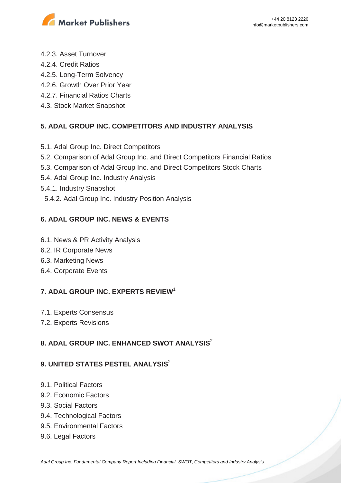

- 4.2.3. Asset Turnover
- 4.2.4. Credit Ratios
- 4.2.5. Long-Term Solvency
- 4.2.6. Growth Over Prior Year
- 4.2.7. Financial Ratios Charts
- 4.3. Stock Market Snapshot

# **5. ADAL GROUP INC. COMPETITORS AND INDUSTRY ANALYSIS**

- 5.1. Adal Group Inc. Direct Competitors
- 5.2. Comparison of Adal Group Inc. and Direct Competitors Financial Ratios
- 5.3. Comparison of Adal Group Inc. and Direct Competitors Stock Charts
- 5.4. Adal Group Inc. Industry Analysis
- 5.4.1. Industry Snapshot
- 5.4.2. Adal Group Inc. Industry Position Analysis

# **6. ADAL GROUP INC. NEWS & EVENTS**

- 6.1. News & PR Activity Analysis
- 6.2. IR Corporate News
- 6.3. Marketing News
- 6.4. Corporate Events

# **7. ADAL GROUP INC. EXPERTS REVIEW**<sup>1</sup>

- 7.1. Experts Consensus
- 7.2. Experts Revisions

# **8. ADAL GROUP INC. ENHANCED SWOT ANALYSIS**<sup>2</sup>

# **9. UNITED STATES PESTEL ANALYSIS<sup>2</sup>**

- 9.1. Political Factors
- 9.2. Economic Factors
- 9.3. Social Factors
- 9.4. Technological Factors
- 9.5. Environmental Factors
- 9.6. Legal Factors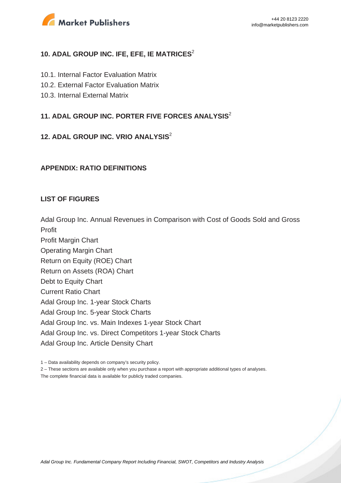

# **10. ADAL GROUP INC. IFE, EFE, IE MATRICES<sup>2</sup>**

- 10.1. Internal Factor Evaluation Matrix
- 10.2. External Factor Evaluation Matrix
- 10.3. Internal External Matrix

# **11. ADAL GROUP INC. PORTER FIVE FORCES ANALYSIS**<sup>2</sup>

# **12. ADAL GROUP INC. VRIO ANALYSIS**<sup>2</sup>

#### **APPENDIX: RATIO DEFINITIONS**

#### **LIST OF FIGURES**

Adal Group Inc. Annual Revenues in Comparison with Cost of Goods Sold and Gross Profit

Profit Margin Chart Operating Margin Chart Return on Equity (ROE) Chart Return on Assets (ROA) Chart Debt to Equity Chart Current Ratio Chart Adal Group Inc. 1-year Stock Charts Adal Group Inc. 5-year Stock Charts Adal Group Inc. vs. Main Indexes 1-year Stock Chart Adal Group Inc. vs. Direct Competitors 1-year Stock Charts Adal Group Inc. Article Density Chart

The complete financial data is available for publicly traded companies.

<sup>1 –</sup> Data availability depends on company's security policy.

<sup>2 –</sup> These sections are available only when you purchase a report with appropriate additional types of analyses.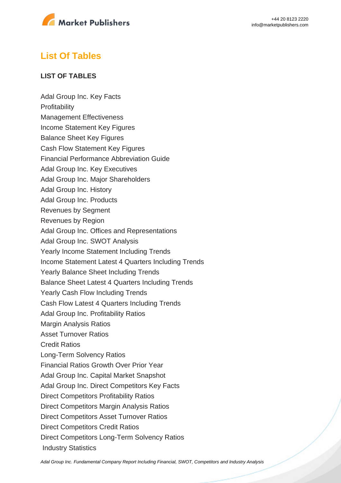

# **List Of Tables**

## **LIST OF TABLES**

Adal Group Inc. Key Facts **Profitability** Management Effectiveness Income Statement Key Figures Balance Sheet Key Figures Cash Flow Statement Key Figures Financial Performance Abbreviation Guide Adal Group Inc. Key Executives Adal Group Inc. Major Shareholders Adal Group Inc. History Adal Group Inc. Products Revenues by Segment Revenues by Region Adal Group Inc. Offices and Representations Adal Group Inc. SWOT Analysis Yearly Income Statement Including Trends Income Statement Latest 4 Quarters Including Trends Yearly Balance Sheet Including Trends Balance Sheet Latest 4 Quarters Including Trends Yearly Cash Flow Including Trends Cash Flow Latest 4 Quarters Including Trends Adal Group Inc. Profitability Ratios Margin Analysis Ratios Asset Turnover Ratios Credit Ratios Long-Term Solvency Ratios Financial Ratios Growth Over Prior Year Adal Group Inc. Capital Market Snapshot Adal Group Inc. Direct Competitors Key Facts Direct Competitors Profitability Ratios Direct Competitors Margin Analysis Ratios Direct Competitors Asset Turnover Ratios Direct Competitors Credit Ratios Direct Competitors Long-Term Solvency Ratios Industry Statistics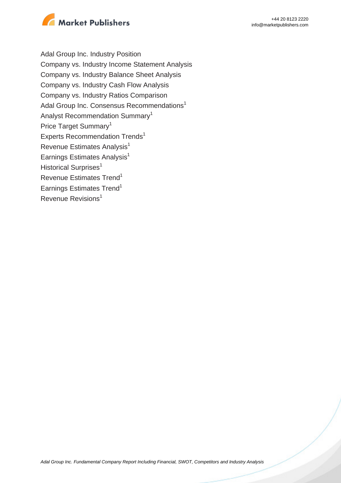

Adal Group Inc. Industry Position Company vs. Industry Income Statement Analysis Company vs. Industry Balance Sheet Analysis Company vs. Industry Cash Flow Analysis Company vs. Industry Ratios Comparison Adal Group Inc. Consensus Recommendations<sup>1</sup> Analyst Recommendation Summary<sup>1</sup> Price Target Summary<sup>1</sup> Experts Recommendation Trends<sup>1</sup> Revenue Estimates Analysis<sup>1</sup> Earnings Estimates Analysis<sup>1</sup> Historical Surprises<sup>1</sup> Revenue Estimates Trend<sup>1</sup> Earnings Estimates Trend<sup>1</sup> Revenue Revisions<sup>1</sup>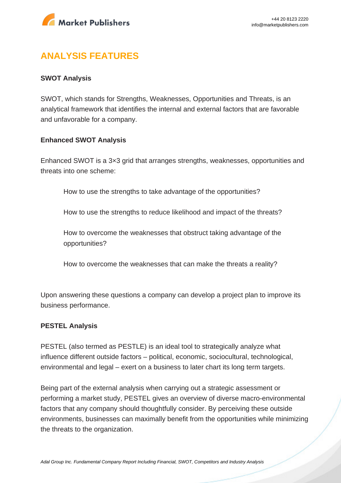

# **ANALYSIS FEATURES**

### **SWOT Analysis**

SWOT, which stands for Strengths, Weaknesses, Opportunities and Threats, is an analytical framework that identifies the internal and external factors that are favorable and unfavorable for a company.

#### **Enhanced SWOT Analysis**

Enhanced SWOT is a 3×3 grid that arranges strengths, weaknesses, opportunities and threats into one scheme:

How to use the strengths to take advantage of the opportunities?

How to use the strengths to reduce likelihood and impact of the threats?

How to overcome the weaknesses that obstruct taking advantage of the opportunities?

How to overcome the weaknesses that can make the threats a reality?

Upon answering these questions a company can develop a project plan to improve its business performance.

#### **PESTEL Analysis**

PESTEL (also termed as PESTLE) is an ideal tool to strategically analyze what influence different outside factors – political, economic, sociocultural, technological, environmental and legal – exert on a business to later chart its long term targets.

Being part of the external analysis when carrying out a strategic assessment or performing a market study, PESTEL gives an overview of diverse macro-environmental factors that any company should thoughtfully consider. By perceiving these outside environments, businesses can maximally benefit from the opportunities while minimizing the threats to the organization.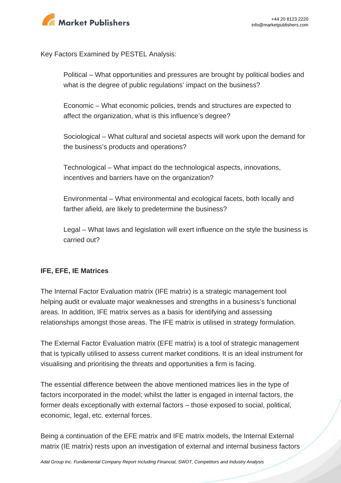

Key Factors Examined by PESTEL Analysis:

Political – What opportunities and pressures are brought by political bodies and what is the degree of public regulations' impact on the business?

Economic – What economic policies, trends and structures are expected to affect the organization, what is this influence's degree?

Sociological – What cultural and societal aspects will work upon the demand for the business's products and operations?

Technological – What impact do the technological aspects, innovations, incentives and barriers have on the organization?

Environmental – What environmental and ecological facets, both locally and farther afield, are likely to predetermine the business?

Legal – What laws and legislation will exert influence on the style the business is carried out?

# **IFE, EFE, IE Matrices**

The Internal Factor Evaluation matrix (IFE matrix) is a strategic management tool helping audit or evaluate major weaknesses and strengths in a business's functional areas. In addition, IFE matrix serves as a basis for identifying and assessing relationships amongst those areas. The IFE matrix is utilised in strategy formulation.

The External Factor Evaluation matrix (EFE matrix) is a tool of strategic management that is typically utilised to assess current market conditions. It is an ideal instrument for visualising and prioritising the threats and opportunities a firm is facing.

The essential difference between the above mentioned matrices lies in the type of factors incorporated in the model; whilst the latter is engaged in internal factors, the former deals exceptionally with external factors – those exposed to social, political, economic, legal, etc. external forces.

Being a continuation of the EFE matrix and IFE matrix models, the Internal External matrix (IE matrix) rests upon an investigation of external and internal business factors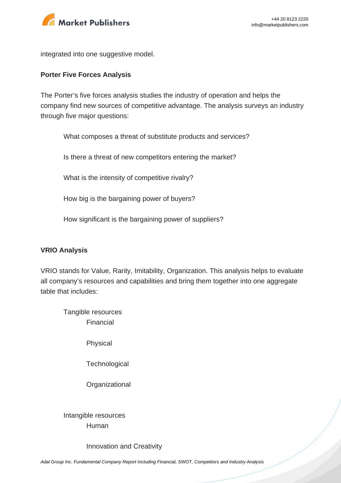

integrated into one suggestive model.

#### **Porter Five Forces Analysis**

The Porter's five forces analysis studies the industry of operation and helps the company find new sources of competitive advantage. The analysis surveys an industry through five major questions:

What composes a threat of substitute products and services?

Is there a threat of new competitors entering the market?

What is the intensity of competitive rivalry?

How big is the bargaining power of buyers?

How significant is the bargaining power of suppliers?

#### **VRIO Analysis**

VRIO stands for Value, Rarity, Imitability, Organization. This analysis helps to evaluate all company's resources and capabilities and bring them together into one aggregate table that includes:

Tangible resources Financial

Physical

**Technological** 

**Organizational** 

Intangible resources Human

Innovation and Creativity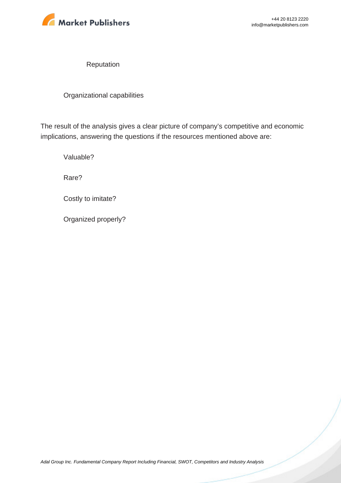

Reputation

Organizational capabilities

The result of the analysis gives a clear picture of company's competitive and economic implications, answering the questions if the resources mentioned above are:

Valuable?

Rare?

Costly to imitate?

Organized properly?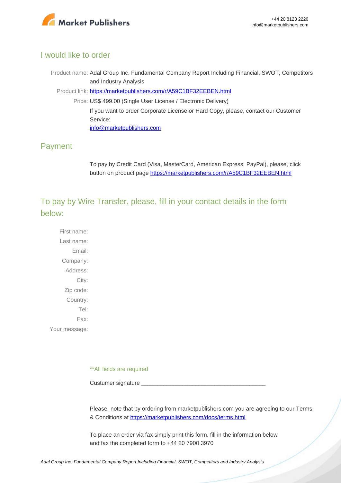

# I would like to order

Product name: Adal Group Inc. Fundamental Company Report Including Financial, SWOT, Competitors and Industry Analysis

Product link: [https://marketpublishers.com/r/A59C1BF32EEBEN.html](https://marketpublishers.com/report/industry/metallurgy/adal_group_inc_swot_analysis_bac.html)

Price: US\$ 499.00 (Single User License / Electronic Delivery) If you want to order Corporate License or Hard Copy, please, contact our Customer Service: [info@marketpublishers.com](mailto:info@marketpublishers.com)

# Payment

To pay by Credit Card (Visa, MasterCard, American Express, PayPal), please, click button on product page [https://marketpublishers.com/r/A59C1BF32EEBEN.html](https://marketpublishers.com/report/industry/metallurgy/adal_group_inc_swot_analysis_bac.html)

To pay by Wire Transfer, please, fill in your contact details in the form below:

First name: Last name: Email: Company: Address: City: Zip code: Country: Tel: Fax: Your message:

\*\*All fields are required

Custumer signature

Please, note that by ordering from marketpublishers.com you are agreeing to our Terms & Conditions at<https://marketpublishers.com/docs/terms.html>

To place an order via fax simply print this form, fill in the information below and fax the completed form to +44 20 7900 3970